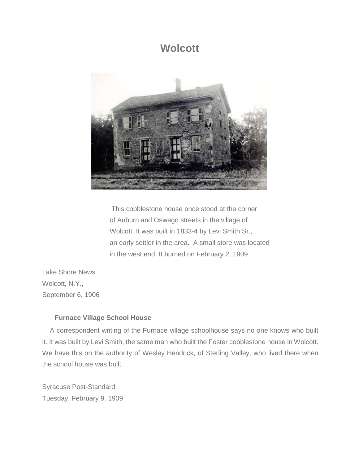## **Wolcott**



This cobblestone house once stood at the corner of Auburn and Oswego streets in the village of Wolcott. It was built in 1833-4 by Levi Smith Sr., an early settler in the area. A small store was located in the west end. It burned on February 2, 1909.

Lake Shore News Wolcott, N.Y., September 6, 1906

## **Furnace Village School House**

A correspondent writing of the Furnace village schoolhouse says no one knows who built it. It was built by Levi Smith, the same man who built the Foster cobblestone house in Wolcott. We have this on the authority of Wesley Hendrick, of Sterling Valley, who lived there when the school house was built.

Syracuse Post-Standard Tuesday, February 9. 1909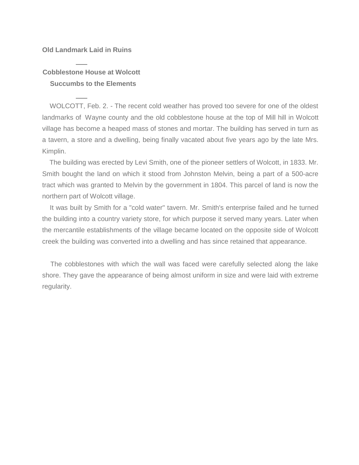## **Old Landmark Laid in Ruins**

## **Cobblestone House at Wolcott Succumbs to the Elements**

WOLCOTT, Feb. 2. - The recent cold weather has proved too severe for one of the oldest landmarks of Wayne county and the old cobblestone house at the top of Mill hill in Wolcott village has become a heaped mass of stones and mortar. The building has served in turn as a tavern, a store and a dwelling, being finally vacated about five years ago by the late Mrs. Kimplin.

The building was erected by Levi Smith, one of the pioneer settlers of Wolcott, in 1833. Mr. Smith bought the land on which it stood from Johnston Melvin, being a part of a 500-acre tract which was granted to Melvin by the government in 1804. This parcel of land is now the northern part of Wolcott village.

It was built by Smith for a "cold water" tavern. Mr. Smith's enterprise failed and he turned the building into a country variety store, for which purpose it served many years. Later when the mercantile establishments of the village became located on the opposite side of Wolcott creek the building was converted into a dwelling and has since retained that appearance.

The cobblestones with which the wall was faced were carefully selected along the lake shore. They gave the appearance of being almost uniform in size and were laid with extreme regularity.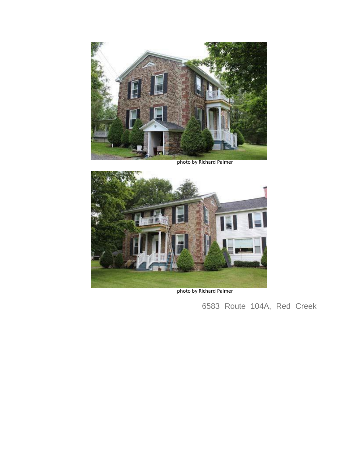

photo by Richard Palmer



photo by Richard Palmer

6583 Route 104A, Red Creek